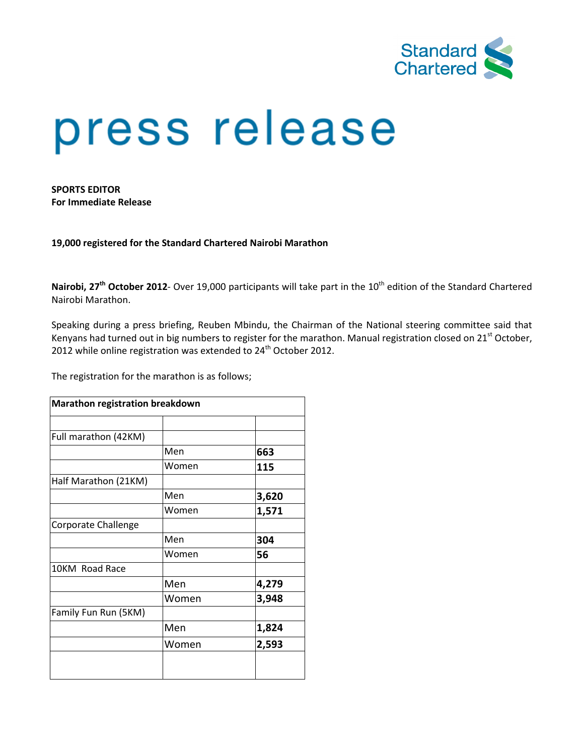

# press release

SPORTS EDITOR For Immediate Release

19,000 registered for the Standard Chartered Nairobi M Marathon

Nairobi, 27<sup>th</sup> October 2012- Over 19,000 participants will take part in the 10<sup>th</sup> edition of the Standard Chartered Nairobi Marathon.

Speaking during a press briefing, Reuben Mbindu, the Chairman of the National steering committee said that Kenyans had turned out in big numbers to register for the marathon. Manual registration closed on 21<sup>st</sup> October, 2012 while online registration was extended to  $24<sup>th</sup>$  October 2012.

The registration for the marathon is as follows;

| Marathon registration breakdown |       |       |  |  |
|---------------------------------|-------|-------|--|--|
|                                 |       |       |  |  |
| Full marathon (42KM)            |       |       |  |  |
|                                 | Men   | 663   |  |  |
|                                 | Women | 115   |  |  |
| Half Marathon (21KM)            |       |       |  |  |
|                                 | Men   | 3,620 |  |  |
|                                 | Women | 1,571 |  |  |
| Corporate Challenge             |       |       |  |  |
|                                 | Men   | 304   |  |  |
|                                 | Women | 56    |  |  |
| 10KM Road Race                  |       |       |  |  |
|                                 | Men   | 4,279 |  |  |
|                                 | Women | 3,948 |  |  |
| Family Fun Run (5KM)            |       |       |  |  |
|                                 | Men   | 1,824 |  |  |
|                                 | Women | 2,593 |  |  |
|                                 |       |       |  |  |
|                                 |       |       |  |  |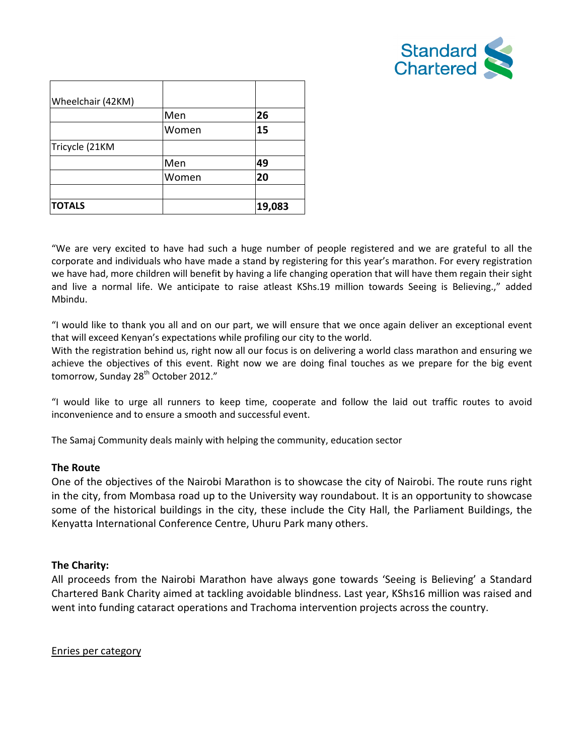

| Wheelchair (42KM) |       |        |
|-------------------|-------|--------|
|                   | Men   | 26     |
|                   | Women | 15     |
| Tricycle (21KM    |       |        |
|                   | Men   | 49     |
|                   | Women | 20     |
|                   |       |        |
| <b>TOTALS</b>     |       | 19,083 |

"We are very excited to have had such a huge number of people registered and we are grateful to all the corporate and individuals who have made a stand by registering for this year's marathon. For every registration we have had, more children will benefit by having a life changing operation that will have them regain their sight and live a normal life. We anticipate to raise atleast KShs.19 million towards Seeing is Believing.," added Mbindu. and live a normal life. We anticipate to raise atleast KShs.19 million towards Seeing is Believing.," added<br>Mbindu.<br>"I would like to thank you all and on our part, we will ensure that we once again deliver an exceptional e

that will exceed Kenyan's expectations while profiling our city to the world.

With the registration behind us, right now all our focus is on delivering a world class marathon and ensuring we achieve the objectives of this event. Right now we are doing final touches as we prepare for the big event<br>tomorrow, Sunday 28<sup>th</sup> October 2012."<br>"I would like to urge all runners to keep time, cooperate and follow the lai tomorrow, Sunday 28<sup>th</sup> October 2012."

"I would like to urge all runners to keep time, cooperate and follow the laid out traffic routes to avoid inconvenience and to ensure a smooth and successful event.

The Samaj Community deals mainly with helping the community, education sector

# The Route

One of the objectives of the Nairobi Marathon is to showcase the city of Nairobi. The route runs right in the city, from Mombasa road up to the University way roundabout. It is an opportunity to showcase some of the historical buildings in the city, these include the City Hall, the Parliament Buildings, the Kenyatta International Conference Centre, Uhuru Park many others. some of the historical buildings in the city, these include the City Hall, the Parliament B<br>Kenyatta International Conference Centre, Uhuru Park many others.<br>**The Charity:**<br>All proceeds from the Nairobi Marathon have alway of Nairobi. The route runs right<br>It is an opportunity to showcase<br>II, the Parliament Buildings, the<br>'Seeing is Believing' a Standard

# The Charity:

Chartered Bank Charity aimed at tackling avoidable blindness. Last year, KShs16 million was raised and went into funding cataract operations and Trachoma intervention projects across the country.

Enries per category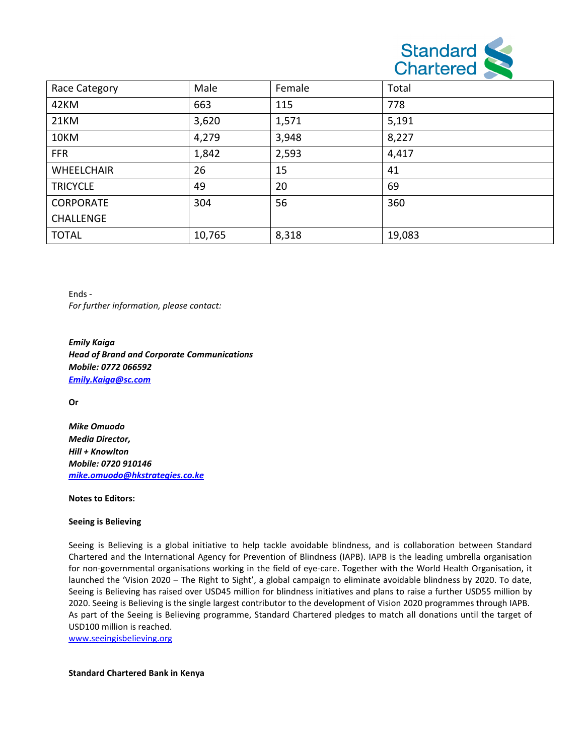

| Race Category     | Male   | Female | Total  |
|-------------------|--------|--------|--------|
| 42KM              | 663    | 115    | 778    |
| 21KM              | 3,620  | 1,571  | 5,191  |
| 10KM              | 4,279  | 3,948  | 8,227  |
| <b>FFR</b>        | 1,842  | 2,593  | 4,417  |
| <b>WHEELCHAIR</b> | 26     | 15     | 41     |
| <b>TRICYCLE</b>   | 49     | 20     | 69     |
| <b>CORPORATE</b>  | 304    | 56     | 360    |
| <b>CHALLENGE</b>  |        |        |        |
| <b>TOTAL</b>      | 10,765 | 8,318  | 19,083 |

Ends - For further information, please contact:

Emily Kaiga Head of Brand and Corporate Communications Mobile: 0772 066592 Emily.Kaiga@sc.com

Or

Mike Omuodo Media Director, Hill + Knowlton Mobile: 0720 910146 mike.omuodo@hkstrategies.co.ke

### Notes to Editors:

### Seeing is Believing

Seeing is Believing is a global initiative to help tackle avoidable blindness, and is collaboration between Standard Chartered and the International Agency for Prevention of Blindness (IAPB). IAPB is the leading umbrella organisation for non-governmental organisations working in the field of eye-care. Together with the World Health Organisation, it launched the 'Vision 2020 – The Right to Sight', a global campaign to eliminate avoidable blindness by 2020. To date, launched the 'Vision 2020 – The Right to Sight', a global campaign to eliminate avoidable blindness by 2020. To date,<br>Seeing is Believing has raised over USD45 million for blindness initiatives and plans to raise a further 2020. Seeing is Believing is the single largest contributor to the development of Vision 2020 programmes through IAPB. 2020. Seeing is Believing is the single largest contributor to the development of Vision 2020 programmes through IAPB.<br>As part of the Seeing is Believing programme, Standard Chartered pledges to match all donations until t USD100 million is reached. s Believing is a global initiative to help tackle avoidable blindness, and is collaboration between Standard<br>ed and the International Agency for Prevention of Blindness (IAPB). IAPB is the leading umbrella organisation<br>gov ye-care. Together with the World Health Organisation, it<br>paign to eliminate avoidable blindness by 2020. To date,<br>s initiatives and plans to raise a further USD55 million by<br>e development of Vision 2020 programmes through

www.seeingisbelieving.org

Standard Chartered Bank in Kenya